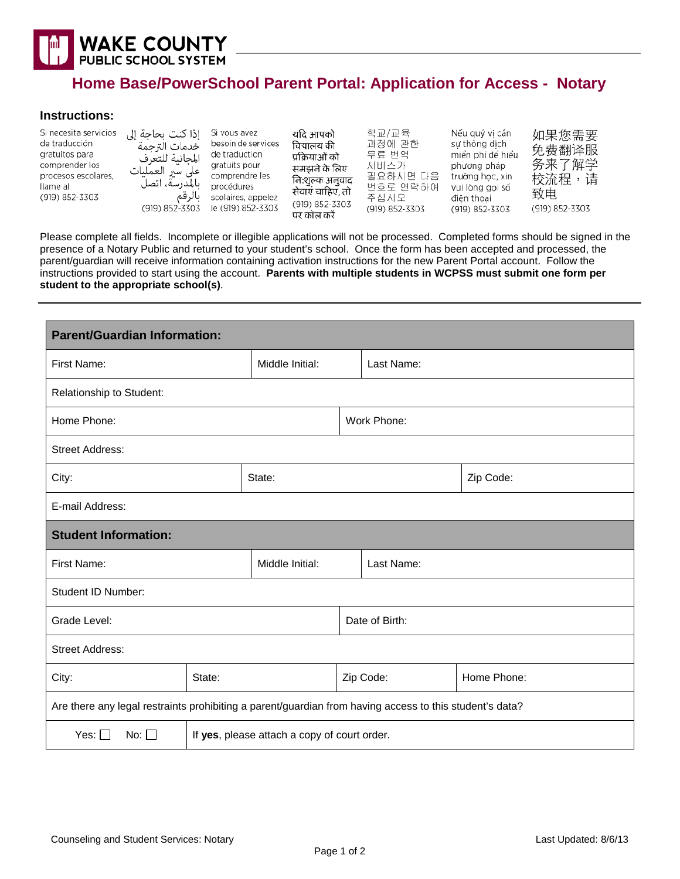

## **Home Base/PowerSchool Parent Portal: Application for Access - Notary**

## **Instructions:**

| Si necesita servicios<br>de traducción<br>gratuitos para<br>comprender los<br>procesos escolares.<br>llame al<br>(919) 852-3303 | إذا كنت بحاجة إلى<br>خدمات الترحمة<br>المجانية للتعرف<br>على سير العمليات<br>بالمدرسة، اتصل<br>بالرقم<br>(919) 852-3303 | Si vous avez<br>besoin de services<br>de traduction<br>gratuits pour<br>comprendre les<br>procédures<br>scolaires, appelez<br>le (919) 852-3303 | यदि आपको<br>विद्यालय की<br>प्रक्रियाओं को<br>समझने के लिए<br>नि:शुल्क अनुवाद<br>सेवाएं चाहिए, तो<br>(919) 852-3303<br>पर कॉल करें | 학교/교육<br>과정에 관한<br>무료 번역<br>서비스가<br>필요하시면 다음<br>번호로 연락하여<br>주십시오<br>(919) 852-3303 | Nếu quý vi cần<br>sư thông dịch<br>miền phí để hiểu<br>phương pháp<br>trường học, xin<br>vui lòng gọi số<br>điên thoai<br>(919) 852-3303 | 如果您需要<br>免费翻译服<br>务来了解学<br>校流程,<br>请<br>致电<br>(919) 852-3303 |
|---------------------------------------------------------------------------------------------------------------------------------|-------------------------------------------------------------------------------------------------------------------------|-------------------------------------------------------------------------------------------------------------------------------------------------|-----------------------------------------------------------------------------------------------------------------------------------|------------------------------------------------------------------------------------|------------------------------------------------------------------------------------------------------------------------------------------|--------------------------------------------------------------|
|---------------------------------------------------------------------------------------------------------------------------------|-------------------------------------------------------------------------------------------------------------------------|-------------------------------------------------------------------------------------------------------------------------------------------------|-----------------------------------------------------------------------------------------------------------------------------------|------------------------------------------------------------------------------------|------------------------------------------------------------------------------------------------------------------------------------------|--------------------------------------------------------------|

Please complete all fields. Incomplete or illegible applications will not be processed. Completed forms should be signed in the presence of a Notary Public and returned to your student's school. Once the form has been accepted and processed, the parent/guardian will receive information containing activation instructions for the new Parent Portal account. Follow the instructions provided to start using the account. **Parents with multiple students in WCPSS must submit one form per student to the appropriate school(s)**.

| <b>Parent/Guardian Information:</b>                                                                     |                                              |                 |  |                |             |  |  |
|---------------------------------------------------------------------------------------------------------|----------------------------------------------|-----------------|--|----------------|-------------|--|--|
| First Name:                                                                                             |                                              | Middle Initial: |  | Last Name:     |             |  |  |
| Relationship to Student:                                                                                |                                              |                 |  |                |             |  |  |
| Home Phone:                                                                                             |                                              |                 |  | Work Phone:    |             |  |  |
| <b>Street Address:</b>                                                                                  |                                              |                 |  |                |             |  |  |
| City:                                                                                                   |                                              | State:          |  |                | Zip Code:   |  |  |
| E-mail Address:                                                                                         |                                              |                 |  |                |             |  |  |
| <b>Student Information:</b>                                                                             |                                              |                 |  |                |             |  |  |
| First Name:                                                                                             |                                              | Middle Initial: |  | Last Name:     |             |  |  |
| Student ID Number:                                                                                      |                                              |                 |  |                |             |  |  |
| Grade Level:                                                                                            |                                              |                 |  | Date of Birth: |             |  |  |
| <b>Street Address:</b>                                                                                  |                                              |                 |  |                |             |  |  |
| State:<br>City:                                                                                         |                                              |                 |  | Zip Code:      | Home Phone: |  |  |
| Are there any legal restraints prohibiting a parent/guardian from having access to this student's data? |                                              |                 |  |                |             |  |  |
| Yes: $\Box$<br>No: $\Box$                                                                               | If yes, please attach a copy of court order. |                 |  |                |             |  |  |